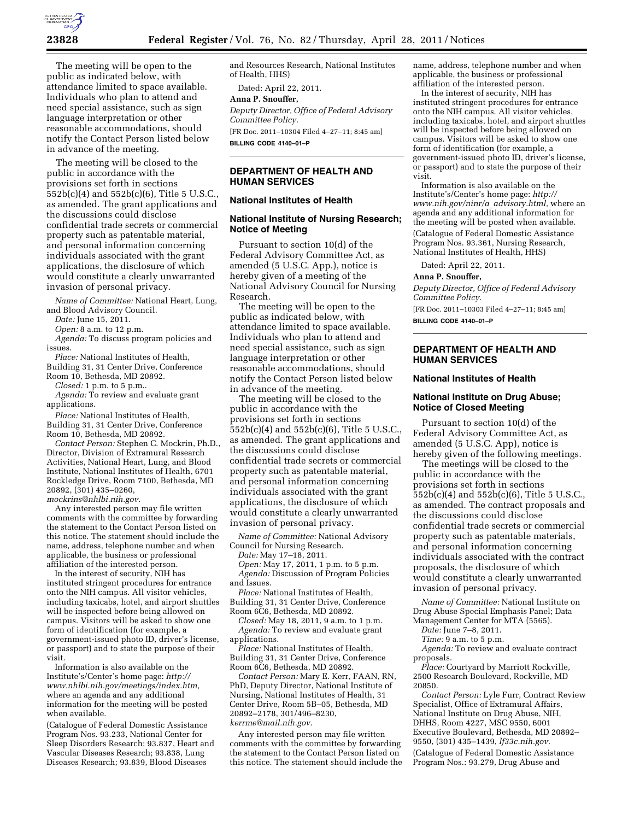

The meeting will be open to the public as indicated below, with attendance limited to space available. Individuals who plan to attend and need special assistance, such as sign language interpretation or other reasonable accommodations, should notify the Contact Person listed below in advance of the meeting.

The meeting will be closed to the public in accordance with the provisions set forth in sections 552b(c)(4) and 552b(c)(6), Title 5 U.S.C., as amended. The grant applications and the discussions could disclose confidential trade secrets or commercial property such as patentable material, and personal information concerning individuals associated with the grant applications, the disclosure of which would constitute a clearly unwarranted invasion of personal privacy.

*Name of Committee:* National Heart, Lung, and Blood Advisory Council.

*Date:* June 15, 2011.

*Open:* 8 a.m. to 12 p.m.

*Agenda:* To discuss program policies and issues.

*Place:* National Institutes of Health, Building 31, 31 Center Drive, Conference

Room 10, Bethesda, MD 20892.

*Closed:* 1 p.m. to 5 p.m..

*Agenda:* To review and evaluate grant applications.

*Place:* National Institutes of Health, Building 31, 31 Center Drive, Conference Room 10, Bethesda, MD 20892.

*Contact Person:* Stephen C. Mockrin, Ph.D., Director, Division of Extramural Research Activities, National Heart, Lung, and Blood Institute, National Institutes of Health, 6701 Rockledge Drive, Room 7100, Bethesda, MD 20892, (301) 435–0260, *[mockrins@nhlbi.nih.gov.](mailto:mockrins@nhlbi.nih.gov)* 

Any interested person may file written comments with the committee by forwarding the statement to the Contact Person listed on this notice. The statement should include the name, address, telephone number and when applicable, the business or professional affiliation of the interested person.

In the interest of security, NIH has instituted stringent procedures for entrance onto the NIH campus. All visitor vehicles, including taxicabs, hotel, and airport shuttles will be inspected before being allowed on campus. Visitors will be asked to show one form of identification (for example, a government-issued photo ID, driver's license, or passport) and to state the purpose of their visit.

Information is also available on the Institute's/Center's home page: *[http://](http://www.nhlbi.nih.gov/meetings/index.htm) [www.nhlbi.nih.gov/meetings/index.htm,](http://www.nhlbi.nih.gov/meetings/index.htm)*  where an agenda and any additional information for the meeting will be posted when available.

(Catalogue of Federal Domestic Assistance Program Nos. 93.233, National Center for Sleep Disorders Research; 93.837, Heart and Vascular Diseases Research; 93.838, Lung Diseases Research; 93.839, Blood Diseases

and Resources Research, National Institutes of Health, HHS)

Dated: April 22, 2011.

#### **Anna P. Snouffer,**

*Deputy Director, Office of Federal Advisory Committee Policy.*  [FR Doc. 2011–10304 Filed 4–27–11; 8:45 am]

**BILLING CODE 4140–01–P** 

# **DEPARTMENT OF HEALTH AND HUMAN SERVICES**

# **National Institutes of Health**

### **National Institute of Nursing Research; Notice of Meeting**

Pursuant to section 10(d) of the Federal Advisory Committee Act, as amended (5 U.S.C. App.), notice is hereby given of a meeting of the National Advisory Council for Nursing Research.

The meeting will be open to the public as indicated below, with attendance limited to space available. Individuals who plan to attend and need special assistance, such as sign language interpretation or other reasonable accommodations, should notify the Contact Person listed below in advance of the meeting.

The meeting will be closed to the public in accordance with the provisions set forth in sections 552b(c)(4) and 552b(c)(6), Title 5 U.S.C., as amended. The grant applications and the discussions could disclose confidential trade secrets or commercial property such as patentable material, and personal information concerning individuals associated with the grant applications, the disclosure of which would constitute a clearly unwarranted invasion of personal privacy.

*Name of Committee:* National Advisory Council for Nursing Research.

*Date:* May 17–18, 2011.

*Open:* May 17, 2011, 1 p.m. to 5 p.m. *Agenda:* Discussion of Program Policies and Issues.

*Place:* National Institutes of Health, Building 31, 31 Center Drive, Conference

Room 6C6, Bethesda, MD 20892. *Closed:* May 18, 2011, 9 a.m. to 1 p.m.

*Agenda:* To review and evaluate grant applications.

*Place:* National Institutes of Health, Building 31, 31 Center Drive, Conference Room 6C6, Bethesda, MD 20892.

*Contact Person:* Mary E. Kerr, FAAN, RN, PhD, Deputy Director, National Institute of Nursing, National Institutes of Health, 31 Center Drive, Room 5B–05, Bethesda, MD 20892–2178, 301/496–8230, *[kerrme@mail.nih.gov](mailto:kerrme@mail.nih.gov)*.

Any interested person may file written comments with the committee by forwarding the statement to the Contact Person listed on this notice. The statement should include the

name, address, telephone number and when applicable, the business or professional affiliation of the interested person.

In the interest of security, NIH has instituted stringent procedures for entrance onto the NIH campus. All visitor vehicles, including taxicabs, hotel, and airport shuttles will be inspected before being allowed on campus. Visitors will be asked to show one form of identification (for example, a government-issued photo ID, driver's license, or passport) and to state the purpose of their visit.

Information is also available on the Institute's/Center's home page: *[http://](http://www.nih.gov/ninr/a_advisory.html) [www.nih.gov/ninr/a](http://www.nih.gov/ninr/a_advisory.html)*\_*advisory.html,* where an agenda and any additional information for the meeting will be posted when available. (Catalogue of Federal Domestic Assistance Program Nos. 93.361, Nursing Research, National Institutes of Health, HHS)

Dated: April 22, 2011.

#### **Anna P. Snouffer,**

*Deputy Director, Office of Federal Advisory Committee Policy.* 

[FR Doc. 2011–10303 Filed 4–27–11; 8:45 am] **BILLING CODE 4140–01–P** 

# **DEPARTMENT OF HEALTH AND HUMAN SERVICES**

#### **National Institutes of Health**

### **National Institute on Drug Abuse; Notice of Closed Meeting**

Pursuant to section 10(d) of the Federal Advisory Committee Act, as amended (5 U.S.C. App), notice is hereby given of the following meetings.

The meetings will be closed to the public in accordance with the provisions set forth in sections 552b(c)(4) and 552b(c)(6), Title 5 U.S.C., as amended. The contract proposals and the discussions could disclose confidential trade secrets or commercial property such as patentable materials, and personal information concerning individuals associated with the contract proposals, the disclosure of which would constitute a clearly unwarranted invasion of personal privacy.

*Name of Committee:* National Institute on Drug Abuse Special Emphasis Panel; Data Management Center for MTA (5565).

*Date:* June 7–8, 2011.

*Time:* 9 a.m. to 5 p.m.

*Agenda:* To review and evaluate contract proposals.

*Place:* Courtyard by Marriott Rockville, 2500 Research Boulevard, Rockville, MD 20850.

*Contact Person:* Lyle Furr, Contract Review Specialist, Office of Extramural Affairs, National Institute on Drug Abuse, NIH, DHHS, Room 4227, MSC 9550, 6001 Executive Boulevard, Bethesda, MD 20892– 9550, (301) 435–1439, *lf33c.nih.gov.*  (Catalogue of Federal Domestic Assistance Program Nos.: 93.279, Drug Abuse and